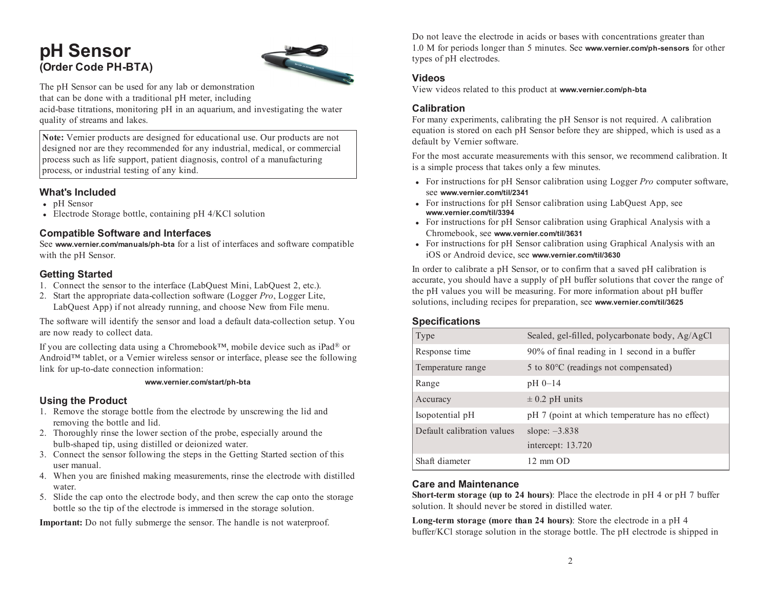# **pH Sensor (Order Code PH-BTA)**



The pH Sensor can be used for any lab or demonstration that can be done with <sup>a</sup> traditional pH meter, including acid-base titrations, monitoring pH in an aquarium, and investigating the water quality of streams and lakes.

**Note:** Vernier products are designed for educational use. Our products are not designed nor are they recommended for any industrial, medical, or commercial process such as life support, patient diagnosis, control of <sup>a</sup> manufacturing process, or industrial testing of any kind.

## **What's Included**

- pH Sensor
- Electrode Storage bottle, containing pH 4/KCl solution

## **Compatible Software and Interfaces**

See **www.vernier.com/manuals/ph-bta** for <sup>a</sup> list of interfaces and software compatible with the pH Sensor.

## **Getting Started**

- 1. Connect the sensor to the interface (LabQuest Mini, LabQuest 2, etc.).
- 2. Start the appropriate data-collection software (Logger *Pro*, Logger Lite, LabQuest App) if not already running, and choose New from File menu.

The software will identify the sensor and load <sup>a</sup> default data-collection setup. You are now ready to collect data.

If you are collecting data using <sup>a</sup> Chromebook™, mobile device such as iPad ® or Android™ tablet, or <sup>a</sup> Vernier wireless sensor or interface, please see the following link for up-to-date connection information:

#### **www.vernier.com/start/ph-bta**

## **Using the Product**

- 1. Remove the storage bottle from the electrode by unscrewing the lid and removing the bottle and lid.
- 2. Thoroughly rinse the lower section of the probe, especially around the bulb-shaped tip, using distilled or deionized water.
- 3. Connect the sensor following the steps in the Getting Started section of this user manual.
- 4. When you are finished making measurements, rinse the electrode with distilled water.
- 5. Slide the cap onto the electrode body, and then screw the cap onto the storage bottle so the tip of the electrode is immersed in the storage solution.

**Important:** Do not fully submerge the sensor. The handle is not waterproof.

Do not leave the electrode in acids or bases with concentrations greater than 1.0 M for periods longer than 5 minutes. See **www.vernier.com/ph-sensors** for other types of pH electrodes.

## **Videos**

View videos related to this product at **www.vernier.com/ph-bta**

## **Calibration**

For many experiments, calibrating the pH Sensor is not required. A calibration equation is stored on each pH Sensor before they are shipped, which is used as <sup>a</sup> default by Vernier software.

For the most accurate measurements with this sensor, we recommend calibration. It is <sup>a</sup> simple process that takes only <sup>a</sup> few minutes.

- For instructions for pH Sensor calibration using Logger *Pro* computer software, see **www.vernier.com/til/2341**
- For instructions for pH Sensor calibration using LabQuest App, see **www.vernier.com/til/3394**
- For instructions for pH Sensor calibration using Graphical Analysis with <sup>a</sup> Chromebook, see **www.vernier.com/til/3631**
- For instructions for pH Sensor calibration using Graphical Analysis with an iOS or Android device, see **www.vernier.com/til/3630**

In order to calibrate <sup>a</sup> pH Sensor, or to confirm that <sup>a</sup> saved pH calibration is accurate, you should have <sup>a</sup> supply of pH buffer solutions that cover the range of the pH values you will be measuring. For more information about pH buffer solutions, including recipes for preparation, see **www.vernier.com/til/3625**

## **Specifications**

| Type                       | Sealed, gel-filled, polycarbonate body, Ag/AgCl |
|----------------------------|-------------------------------------------------|
| Response time              | 90% of final reading in 1 second in a buffer    |
| Temperature range          | 5 to 80 °C (readings not compensated)           |
| Range                      | $pH_0-14$                                       |
| Accuracy                   | $\pm$ 0.2 pH units                              |
| Isopotential pH            | pH 7 (point at which temperature has no effect) |
| Default calibration values | slope: $-3.838$                                 |
|                            | intercept: 13.720                               |
| Shaft diameter             | $12 \text{ mm OD}$                              |

#### **Care and Maintenance**

**Short-term storage (up to 24 hours)**: Place the electrode in pH 4 or pH 7 buffer solution. It should never be stored in distilled water.

**Long-term storage (more than 24 hours)**: Store the electrode in <sup>a</sup> pH 4 buffer/KCl storage solution in the storage bottle. The pH electrode is shipped in